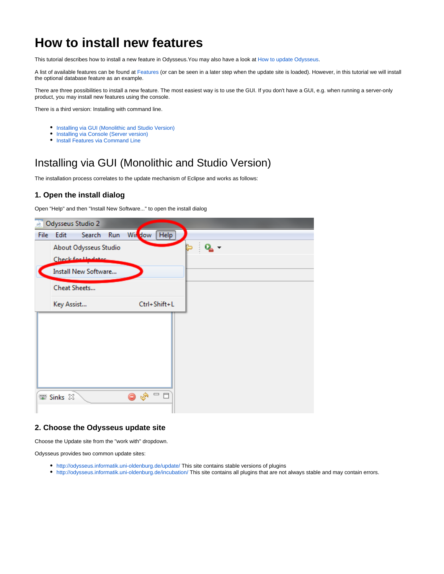# **How to install new features**

This tutorial describes how to install a new feature in Odysseus.You may also have a look at [How to update Odysseus](https://wiki.odysseus.informatik.uni-oldenburg.de/display/ODYSSEUS/How+to+update+Odysseus).

A list of available features can be found at [Features](https://wiki.odysseus.informatik.uni-oldenburg.de/display/ODYSSEUS/Features) (or can be seen in a later step when the update site is loaded). However, in this tutorial we will install the optional database feature as an example.

There are three possibilities to install a new feature. The most easiest way is to use the GUI. If you don't have a GUI, e.g. when running a server-only product, you may install new features using the console.

There is a third version: Installing with command line.

- **•** [Installing via GUI \(Monolithic and Studio Version\)](#page-0-0)
- [Installing via Console \(Server version\)](#page-6-0)  $\bullet$
- **[Install Features via Command Line](#page-9-0)**

## <span id="page-0-0"></span>Installing via GUI (Monolithic and Studio Version)

The installation process correlates to the update mechanism of Eclipse and works as follows:

### **1. Open the install dialog**

Open "Help" and then "Install New Software..." to open the install dialog



### **2. Choose the Odysseus update site**

Choose the Update site from the "work with" dropdown.

Odysseus provides two common update sites:

- <http://odysseus.informatik.uni-oldenburg.de/update/>This site contains stable versions of plugins
- <http://odysseus.informatik.uni-oldenburg.de/incubation/>This site contains all plugins that are not always stable and may contain errors.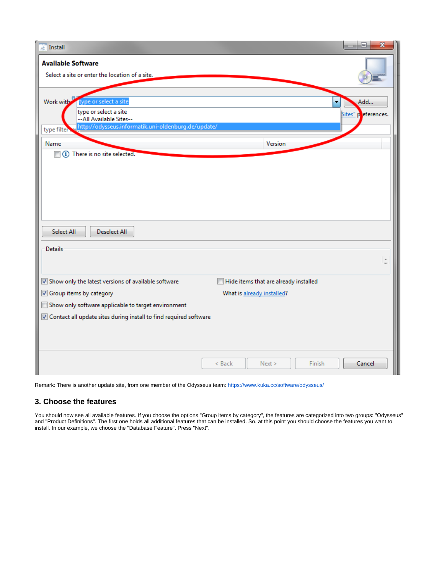| $\overline{\mathbb{A}}$ Install                                                                                                               | $\Box$<br>$\mathbf x$                                               |
|-----------------------------------------------------------------------------------------------------------------------------------------------|---------------------------------------------------------------------|
| <b>Available Software</b><br>Select a site or enter the location of a site.                                                                   |                                                                     |
| Work with<br>type or select a site<br>type or select a site<br>--All Available Sites--<br>http://odysseus.informatik.uni-oldenburg.de/update/ | ۰<br>Add<br>Sites" peferences.                                      |
| type filter<br>Name<br>(i) There is no site selected.<br>$\blacksquare$                                                                       | Version                                                             |
|                                                                                                                                               |                                                                     |
| Select All<br><b>Deselect All</b><br>Details                                                                                                  | $\Delta$                                                            |
| Show only the latest versions of available software<br>Group items by category                                                                | Hide items that are already installed<br>What is already installed? |
| Show only software applicable to target environment<br>Contact all update sites during install to find required software                      |                                                                     |
|                                                                                                                                               | Cancel<br>$<$ Back<br>Next ><br>Finish                              |

Remark: There is another update site, from one member of the Odysseus team:<https://www.kuka.cc/software/odysseus/>

### **3. Choose the features**

You should now see all available features. If you choose the options "Group items by category", the features are categorized into two groups: "Odysseus" and "Product Definitions". The first one holds all additional features that can be installed. So, at this point you should choose the features you want to install. In our example, we choose the "Database Feature". Press "Next".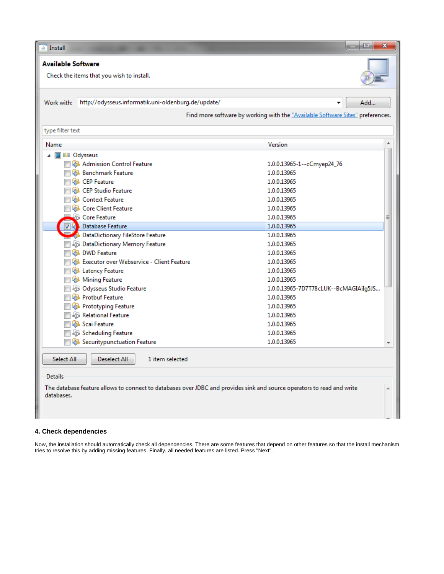| Install                                                                                                                              | Θ.<br>x                                                                        |  |  |  |
|--------------------------------------------------------------------------------------------------------------------------------------|--------------------------------------------------------------------------------|--|--|--|
| <b>Available Software</b>                                                                                                            |                                                                                |  |  |  |
| Check the items that you wish to install.                                                                                            |                                                                                |  |  |  |
|                                                                                                                                      |                                                                                |  |  |  |
|                                                                                                                                      |                                                                                |  |  |  |
| http://odysseus.informatik.uni-oldenburg.de/update/<br>Work with:                                                                    | Add                                                                            |  |  |  |
|                                                                                                                                      | Find more software by working with the "Available Software Sites" preferences. |  |  |  |
|                                                                                                                                      |                                                                                |  |  |  |
| type filter text                                                                                                                     |                                                                                |  |  |  |
| Name                                                                                                                                 | ▲<br>Version                                                                   |  |  |  |
| △ <b>■ 000 Odysseus</b>                                                                                                              |                                                                                |  |  |  |
| Admission Control Feature                                                                                                            | 1.0.0.13965-1--cCmyep24_76                                                     |  |  |  |
| <b>Benchmark Feature</b>                                                                                                             | 1.0.0.13965                                                                    |  |  |  |
| <b>ED</b> CEP Feature                                                                                                                | 1.0.0.13965                                                                    |  |  |  |
| <b>Example 2</b> CEP Studio Feature                                                                                                  | 1.0.0.13965                                                                    |  |  |  |
| <b>Context Feature</b>                                                                                                               | 1.0.0.13965                                                                    |  |  |  |
| <b>B</b> Core Client Feature                                                                                                         | 1.0.0.13965                                                                    |  |  |  |
| <b>Core Feature</b>                                                                                                                  | 1.0.0.13965<br>Ξ                                                               |  |  |  |
| <b>Database Feature</b>                                                                                                              | 1.0.0.13965                                                                    |  |  |  |
| <b>DataDictionary FileStore Feature</b>                                                                                              | 1.0.0.13965                                                                    |  |  |  |
| <b>B</b> $\oplus$ DataDictionary Memory Feature                                                                                      | 1.0.0.13965                                                                    |  |  |  |
| <b>DWD</b> Feature                                                                                                                   | 1.0.0.13965                                                                    |  |  |  |
| Executor over Webservice - Client Feature                                                                                            | 1.0.0.13965                                                                    |  |  |  |
| <b>B</b> Latency Feature                                                                                                             | 1.0.0.13965                                                                    |  |  |  |
| <b>B</b> Mining Feature                                                                                                              | 1.0.0.13965                                                                    |  |  |  |
| <b>Q</b> B Odysseus Studio Feature                                                                                                   | 1.0.0.13965-7D7T78cLUK--BcMAGIAiIg5JS                                          |  |  |  |
| <b>Protbuf Feature</b>                                                                                                               | 1.0.0.13965                                                                    |  |  |  |
| <b>Prototyping Feature</b>                                                                                                           | 1.0.0.13965                                                                    |  |  |  |
| <b>AB</b> Relational Feature                                                                                                         | 1.0.0.13965                                                                    |  |  |  |
| <b>B</b> Scai Feature                                                                                                                | 1.0.0.13965                                                                    |  |  |  |
| <b>B</b> $\bigoplus$ Scheduling Feature                                                                                              | 1.0.0.13965                                                                    |  |  |  |
| <b>B</b> Securitypunctuation Feature                                                                                                 | 1.0.0.13965                                                                    |  |  |  |
|                                                                                                                                      |                                                                                |  |  |  |
| 1 item selected<br>Select All<br><b>Deselect All</b>                                                                                 |                                                                                |  |  |  |
| <b>Details</b>                                                                                                                       |                                                                                |  |  |  |
|                                                                                                                                      |                                                                                |  |  |  |
| The database feature allows to connect to databases over JDBC and provides sink and source operators to read and write<br>databases. |                                                                                |  |  |  |
|                                                                                                                                      |                                                                                |  |  |  |
|                                                                                                                                      |                                                                                |  |  |  |
|                                                                                                                                      |                                                                                |  |  |  |

### **4. Check dependencies**

Now, the installation should automatically check all dependencies. There are some features that depend on other features so that the install mechanism tries to resolve this by adding missing features. Finally, all needed features are listed. Press "Next".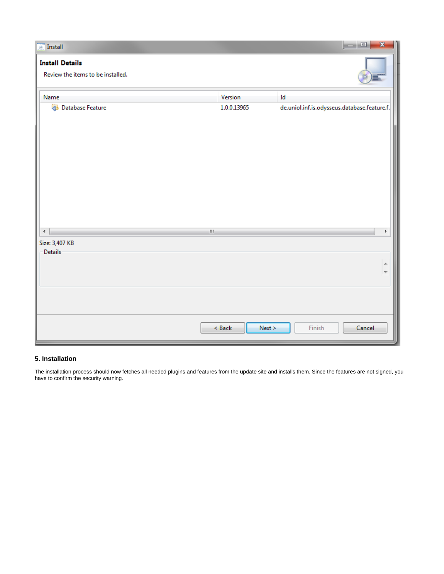| $\overline{\mathbb{R}}$ Install                             |                  | $\Box$ e<br>$\mathbf{x}$                                                                   |
|-------------------------------------------------------------|------------------|--------------------------------------------------------------------------------------------|
| <b>Install Details</b><br>Review the items to be installed. |                  |                                                                                            |
| Name                                                        | Version          | Id                                                                                         |
| <b>Database Feature</b>                                     | 1.0.0.13965      | ${\small \textsf{de.}uniol.} in \textsf{f.} is. odysseus. data base. feature. \textsf{f.}$ |
| $\leftarrow$                                                | $\mathbf{H}$     | Þ.                                                                                         |
| Size: 3,407 KB<br>Details                                   |                  |                                                                                            |
|                                                             |                  | ۸<br>$\overline{\mathcal{R}}$                                                              |
|                                                             | Next ><br>< Back | Finish<br>Cancel                                                                           |

### **5. Installation**

The installation process should now fetches all needed plugins and features from the update site and installs them. Since the features are not signed, you have to confirm the security warning.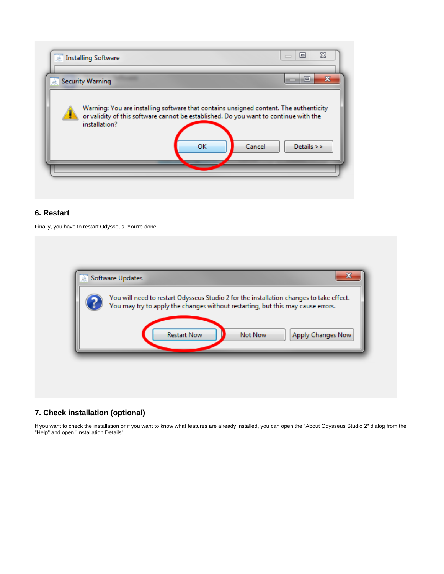

## **6. Restart**

Finally, you have to restart Odysseus. You're done.

| You will need to restart Odysseus Studio 2 for the installation changes to take effect.<br>You may try to apply the changes without restarting, but this may cause errors. |
|----------------------------------------------------------------------------------------------------------------------------------------------------------------------------|
| <b>Restart Now</b><br>Not Now                                                                                                                                              |
| Apply Changes Now                                                                                                                                                          |

## **7. Check installation (optional)**

If you want to check the installation or if you want to know what features are already installed, you can open the "About Odysseus Studio 2" dialog from the "Help" and open "Installation Details".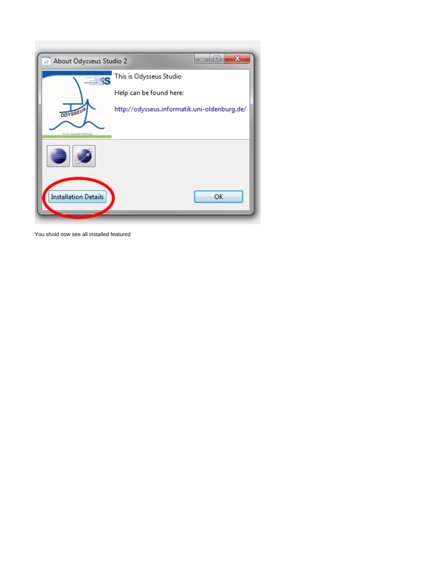

You shold now see all installed featured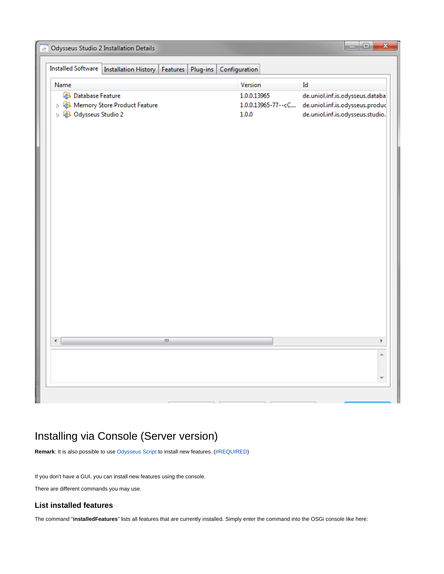| Installed Software   Installation History  <br>Plug-ins<br>Features                                  | Configuration        |                                                                                                                             |
|------------------------------------------------------------------------------------------------------|----------------------|-----------------------------------------------------------------------------------------------------------------------------|
| Name                                                                                                 | Version              | Id                                                                                                                          |
| <b>Database Feature</b><br><b>D D</b> Memory Store Product Feature<br><b>D Q</b> B Odysseus Studio 2 | 1.0.0.13965<br>1.0.0 | de.uniol.inf.is.odysseus.databa<br>1.0.0.13965-77 -- cC de.uniol.inf.is.odysseus.produc<br>de.uniol.inf.is.odysseus.studio. |
| ¢<br>$\mathbf{H}$                                                                                    |                      | Þ                                                                                                                           |
|                                                                                                      |                      |                                                                                                                             |

## <span id="page-6-0"></span>Installing via Console (Server version)

**Remark**: It is also possible to use [Odysseus Script](https://wiki.odysseus.informatik.uni-oldenburg.de/display/ODYSSEUS/Odysseus+Script) to install new features. [\(#REQUIRED](https://wiki.odysseus.informatik.uni-oldenburg.de/display/ODYSSEUS/Features+and+Updates))

If you don't have a GUI, you can install new features using the console.

There are different commands you may use.

## **List installed features**

The command "**installedFeatures**" lists all features that are currently installed. Simply enter the command into the OSGi console like here: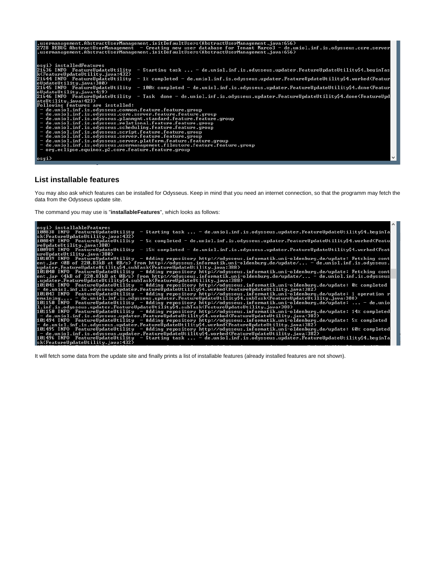

#### **List installable features**

You may also ask which features can be installed for Odysseus. Keep in mind that you need an internet connection, so that the programm may fetch the data from the Odysseus update site.

The command you may use is "**installableFeatures**", which looks as follows:

essi) installablePeatures<br>
188838 INFO reatureUpdateUtility - Starting task ... - de.uniol.inf.is.odysseus.updater.PeatureUpdateUtility4.begin1a<br>
3KCReatureUpdateUtility4.java-1322<br>
188649 INFO reatureUpdateUtility4.hegiti

It will fetch some data from the update site and finally prints a list of installable features (already installed features are not shown).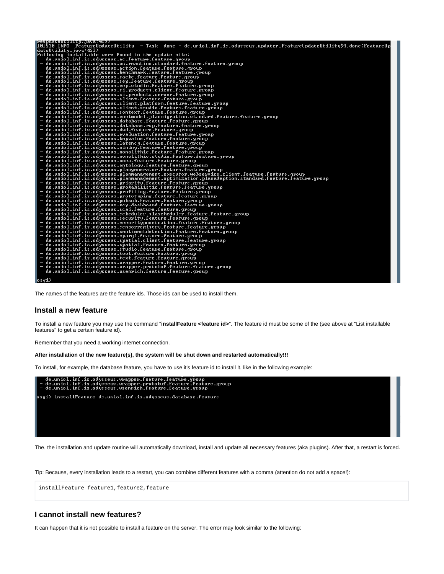| <b>reupdateutility.java:4172</b><br>101530 INFO  FeatureUpdateUtility  — Task  done — de.uniol.inf.is.odysseus.updater.FeatureUpdateUtility\$4.done(FeatureUp |
|---------------------------------------------------------------------------------------------------------------------------------------------------------------|
| dateUtility.java:423)                                                                                                                                         |
| Following installable were found in the update site:                                                                                                          |
| $-$ de.uniol.inf.is.odysseus.ac.feature.feature.group                                                                                                         |
| - de.uniol.inf.is.odysseus.ac.reaction.standard.feature.feature.group -                                                                                       |
| - de.uniol.inf.is.odysseus.action.feature.feature.group                                                                                                       |
| - de.uniol.inf.is.odysseus.benchmark.feature.feature.group                                                                                                    |
| - de.uniol.inf.is.odysseus.cache.feature.feature.group                                                                                                        |
| - de.uniol.inf.is.odysseus.cep.feature.feature.group                                                                                                          |
| - de.uniol.inf.is.odysseus.cep.studio.feature.feature.group                                                                                                   |
| - de.uniol.inf.is.odysseus.ci.products.client.feature.group                                                                                                   |
| $-$ de.uniol.inf.is.odysseus.ci.products.server.feature.group                                                                                                 |
| - de.uniol.inf.is.odysseus.client.feature.feature.group                                                                                                       |
| - de.uniol.inf.is.odysseus.client.platform.feature.feature.group                                                                                              |
| - de.uniol.inf.is.odysseus.client.studio.feature.feature.group                                                                                                |
| - de.uniol.inf.is.odysseus.context.feature.feature.group                                                                                                      |
| - de.uniol.inf.is.odysseus.costmodel.planmigration.standard.feature.feature.group                                                                             |
| - de.uniol.inf.is.odysseus.database.feature.feature.group                                                                                                     |
| - de.uniol.inf.is.odysseus.database.rcp.feature.feature.group                                                                                                 |
| - de.uniol.inf.is.odysseus.dwd.feature.feature.group                                                                                                          |
| $-$ de.uniol.inf.is.odysseus.evaluation.feature.feature.group                                                                                                 |
| - de.uniol.inf.is.odysseus.keyvalue.feature.feature.group                                                                                                     |
| - de.uniol.inf.is.odysseus.latency.feature.feature.group                                                                                                      |
| - de.uniol.inf.is.odysseus.mining.feature.feature.group                                                                                                       |
| - de.uniol.inf.is.odysseus.monolithic.feature.feature.group                                                                                                   |
| de.uniol.inf.is.odysseus.monolithic.studio.feature.feature.group -                                                                                            |
| - de.uniol.inf.is.odysseus.nmea.feature.feature.group                                                                                                         |
| - de.uniol.inf.is.odysseus.ontology.feature.feature.group                                                                                                     |
| - de.uniol.inf.is.odysseus.plangenerator.feature.feature.group                                                                                                |
| de.uniol.inf.is.odysseus.planmanagement.executor.webservice.client.feature.feature.group -                                                                    |
| de.uniol.inf.is.odysseus.planmanagement.optimization.planadaption.standard.feature.feature.group -                                                            |
| $-$ de.uniol.inf.is.odysseus.priority.feature.feature.group                                                                                                   |
| $-$ de.uniol.inf.is.odysseus.probabilistic.feature.feature.group                                                                                              |
| - de.uniol.inf.is.odysseus.profiling.feature.feature.group                                                                                                    |
| - de.uniol.inf.is.odysseus.prototyping.feature.feature.group                                                                                                  |
| - de.uniol.inf.is.odysseus.pubsub.feature.feature.group                                                                                                       |
| - de.uniol.inf.is.odysseus.rcp.dashboard.feature.feature.group                                                                                                |
| - de.uniol.inf.is.odysseus.scai.feature.feature.group                                                                                                         |
| - de.uniol.inf.is.odysseus.scheduler.slascheduler.feature.feature.group                                                                                       |
| - de.uniol.inf.is.odysseus.security.feature.feature.group                                                                                                     |
| - de.uniol.inf.is.odysseus.securitypunctuation.feature.feature.group                                                                                          |
| - de.uniol.inf.is.odysseus.sensorregistry.feature.feature.group                                                                                               |
| - de.uniol.inf.is.odysseus.sentimentdetection.feature.feature.group                                                                                           |
| - de.uniol.inf.is.odysseus.sparql.feature.feature.group                                                                                                       |
| - de.uniol.inf.is.odysseus.spatial.client.feature.feature.group                                                                                               |
| $-$ de.uniol.inf.is.odysseus.spatial.feature.feature.group                                                                                                    |
| - de.uniol.inf.is.odysseus.studio.feature.feature.group                                                                                                       |
| - de.uniol.inf.is.odysseus.test.feature.feature.group                                                                                                         |
| $-$ de.uniol.inf.is.odysseus.text.feature.feature.group                                                                                                       |
| $-$ de.uniol.inf.is.odysseus.wrapper.feature.feature.group                                                                                                    |
| - de.uniol.inf.is.odysseus.wrapper.protobuf.feature.feature.group                                                                                             |
| - de.uniol.inf.is.odysseus.wsenrich.feature.feature.group                                                                                                     |
|                                                                                                                                                               |
| osgi>                                                                                                                                                         |

The names of the features are the feature ids. Those ids can be used to install them.

### **Install a new feature**

To install a new feature you may use the command "**installFeature <feature id>**". The feature id must be some of the (see above at "List installable features" to get a certain feature id).

Remember that you need a working internet connection.

#### **After installation of the new feature(s), the system will be shut down and restarted automatically!!!**

To install, for example, the database feature, you have to use it's feature id to install it, like in the following example:



The, the installation and update routine will automatically download, install and update all necessary features (aka plugins). After that, a restart is forced.

Tip: Because, every installation leads to a restart, you can combine different features with a comma (attention do not add a space!):

```
installFeature feature1,feature2,feature
```
### **I cannot install new features?**

It can happen that it is not possible to install a feature on the server. The error may look similar to the following: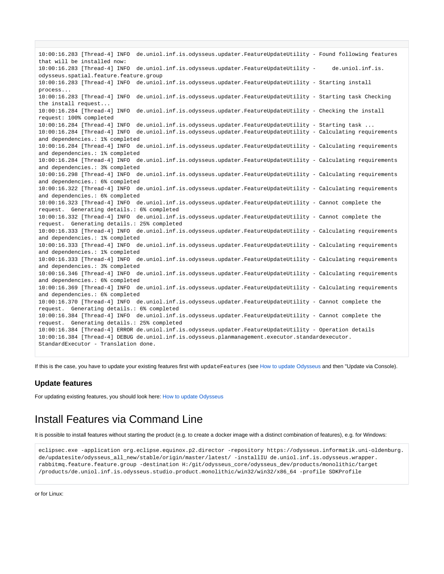10:00:16.283 [Thread-4] INFO de.uniol.inf.is.odysseus.updater.FeatureUpdateUtility - Found following features that will be installed now: 10:00:16.283 [Thread-4] INFO de.uniol.inf.is.odysseus.updater.FeatureUpdateUtility - de.uniol.inf.is. odysseus.spatial.feature.feature.group 10:00:16.283 [Thread-4] INFO de.uniol.inf.is.odysseus.updater.FeatureUpdateUtility - Starting install process... 10:00:16.283 [Thread-4] INFO de.uniol.inf.is.odysseus.updater.FeatureUpdateUtility - Starting task Checking the install request... 10:00:16.284 [Thread-4] INFO de.uniol.inf.is.odysseus.updater.FeatureUpdateUtility - Checking the install request: 100% completed 10:00:16.284 [Thread-4] INFO de.uniol.inf.is.odysseus.updater.FeatureUpdateUtility - Starting task ... 10:00:16.284 [Thread-4] INFO de.uniol.inf.is.odysseus.updater.FeatureUpdateUtility - Calculating requirements and dependencies.: 1% completed 10:00:16.284 [Thread-4] INFO de.uniol.inf.is.odysseus.updater.FeatureUpdateUtility - Calculating requirements and dependencies.: 1% completed 10:00:16.284 [Thread-4] INFO de.uniol.inf.is.odysseus.updater.FeatureUpdateUtility - Calculating requirements and dependencies.: 3% completed 10:00:16.298 [Thread-4] INFO de.uniol.inf.is.odysseus.updater.FeatureUpdateUtility - Calculating requirements and dependencies.: 6% completed 10:00:16.322 [Thread-4] INFO de.uniol.inf.is.odysseus.updater.FeatureUpdateUtility - Calculating requirements and dependencies.: 6% completed 10:00:16.323 [Thread-4] INFO de.uniol.inf.is.odysseus.updater.FeatureUpdateUtility - Cannot complete the request. Generating details.: 6% completed 10:00:16.332 [Thread-4] INFO de.uniol.inf.is.odysseus.updater.FeatureUpdateUtility - Cannot complete the request. Generating details.: 25% completed 10:00:16.333 [Thread-4] INFO de.uniol.inf.is.odysseus.updater.FeatureUpdateUtility - Calculating requirements and dependencies.: 1% completed 10:00:16.333 [Thread-4] INFO de.uniol.inf.is.odysseus.updater.FeatureUpdateUtility - Calculating requirements and dependencies.: 1% completed 10:00:16.333 [Thread-4] INFO de.uniol.inf.is.odysseus.updater.FeatureUpdateUtility - Calculating requirements and dependencies.: 3% completed 10:00:16.346 [Thread-4] INFO de.uniol.inf.is.odysseus.updater.FeatureUpdateUtility - Calculating requirements and dependencies.: 6% completed 10:00:16.369 [Thread-4] INFO de.uniol.inf.is.odysseus.updater.FeatureUpdateUtility - Calculating requirements and dependencies.: 6% completed 10:00:16.370 [Thread-4] INFO de.uniol.inf.is.odysseus.updater.FeatureUpdateUtility - Cannot complete the request. Generating details.: 6% completed 10:00:16.384 [Thread-4] INFO de.uniol.inf.is.odysseus.updater.FeatureUpdateUtility - Cannot complete the request. Generating details.: 25% completed 10:00:16.384 [Thread-4] ERROR de.uniol.inf.is.odysseus.updater.FeatureUpdateUtility - Operation details 10:00:16.384 [Thread-4] DEBUG de.uniol.inf.is.odysseus.planmanagement.executor.standardexecutor. StandardExecutor - Translation done.

If this is the case, you have to update your existing features first with updateFeatures (see [How to update Odysseus](https://wiki.odysseus.informatik.uni-oldenburg.de/display/ODYSSEUS/How+to+update+Odysseus) and then "Update via Console).

## **Update features**

For updating existing features, you should look here: [How to update Odysseus](https://wiki.odysseus.informatik.uni-oldenburg.de/display/ODYSSEUS/How+to+update+Odysseus)

## <span id="page-9-0"></span>Install Features via Command Line

It is possible to install features without starting the product (e.g. to create a docker image with a distinct combination of features), e.g. for Windows:

eclipsec.exe -application org.eclipse.equinox.p2.director -repository https://odysseus.informatik.uni-oldenburg. de/updatesite/odysseus\_all\_new/stable/origin/master/latest/ -installIU de.uniol.inf.is.odysseus.wrapper. rabbitmq.feature.feature.group -destination H:/git/odysseus\_core/odysseus\_dev/products/monolithic/target /products/de.uniol.inf.is.odysseus.studio.product.monolithic/win32/win32/x86\_64 -profile SDKProfile

or for Linux: